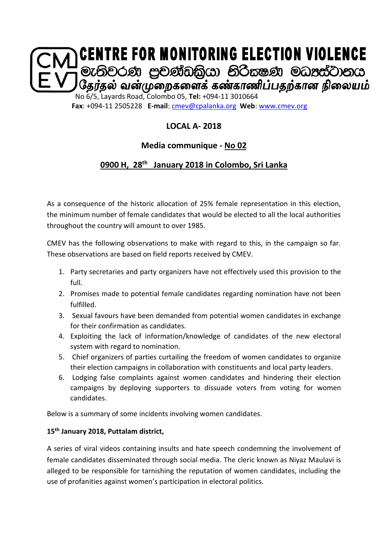

**LOCAL A- 2018**

## **Media communique - No 02**

# **0900 H, 28th January 2018 in Colombo, Sri Lanka**

As a consequence of the historic allocation of 25% female representation in this election, the minimum number of female candidates that would be elected to all the local authorities throughout the country will amount to over 1985.

CMEV has the following observations to make with regard to this, in the campaign so far. These observations are based on field reports received by CMEV.

- 1. Party secretaries and party organizers have not effectively used this provision to the full.
- 2. Promises made to potential female candidates regarding nomination have not been fulfilled.
- 3. Sexual favours have been demanded from potential women candidates in exchange for their confirmation as candidates.
- 4. Exploiting the lack of information/knowledge of candidates of the new electoral system with regard to nomination.
- 5. Chief organizers of parties curtailing the freedom of women candidates to organize their election campaigns in collaboration with constituents and local party leaders.
- 6. Lodging false complaints against women candidates and hindering their election campaigns by deploying supporters to dissuade voters from voting for women candidates.

Below is a summary of some incidents involving women candidates.

### **15th January 2018, Puttalam district,**

A series of viral videos containing insults and hate speech condemning the involvement of female candidates disseminated through social media. The cleric known as Niyaz Maulavi is alleged to be responsible for tarnishing the reputation of women candidates, including the use of profanities against women's participation in electoral politics.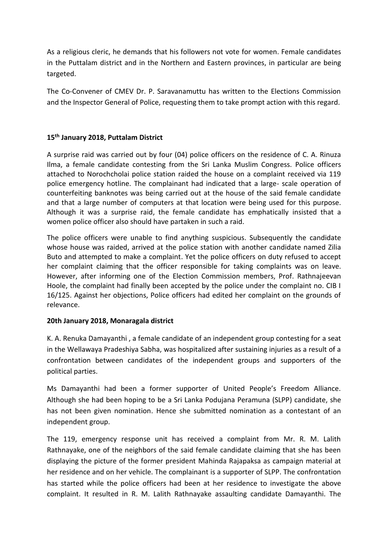As a religious cleric, he demands that his followers not vote for women. Female candidates in the Puttalam district and in the Northern and Eastern provinces, in particular are being targeted.

The Co-Convener of CMEV Dr. P. Saravanamuttu has written to the Elections Commission and the Inspector General of Police, requesting them to take prompt action with this regard.

### **15th January 2018, Puttalam District**

A surprise raid was carried out by four (04) police officers on the residence of C. A. Rinuza Ilma, a female candidate contesting from the Sri Lanka Muslim Congress. Police officers attached to Norochcholai police station raided the house on a complaint received via 119 police emergency hotline. The complainant had indicated that a large- scale operation of counterfeiting banknotes was being carried out at the house of the said female candidate and that a large number of computers at that location were being used for this purpose. Although it was a surprise raid, the female candidate has emphatically insisted that a women police officer also should have partaken in such a raid.

The police officers were unable to find anything suspicious. Subsequently the candidate whose house was raided, arrived at the police station with another candidate named Zilia Buto and attempted to make a complaint. Yet the police officers on duty refused to accept her complaint claiming that the officer responsible for taking complaints was on leave. However, after informing one of the Election Commission members, Prof. Rathnajeevan Hoole, the complaint had finally been accepted by the police under the complaint no. CIB I 16/125. Against her objections, Police officers had edited her complaint on the grounds of relevance.

### **20th January 2018, Monaragala district**

K. A. Renuka Damayanthi , a female candidate of an independent group contesting for a seat in the Wellawaya Pradeshiya Sabha, was hospitalized after sustaining injuries as a result of a confrontation between candidates of the independent groups and supporters of the political parties.

Ms Damayanthi had been a former supporter of United People's Freedom Alliance. Although she had been hoping to be a Sri Lanka Podujana Peramuna (SLPP) candidate, she has not been given nomination. Hence she submitted nomination as a contestant of an independent group.

The 119, emergency response unit has received a complaint from Mr. R. M. Lalith Rathnayake, one of the neighbors of the said female candidate claiming that she has been displaying the picture of the former president Mahinda Rajapaksa as campaign material at her residence and on her vehicle. The complainant is a supporter of SLPP. The confrontation has started while the police officers had been at her residence to investigate the above complaint. It resulted in R. M. Lalith Rathnayake assaulting candidate Damayanthi. The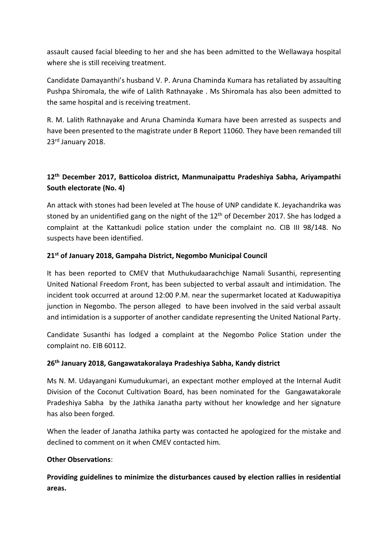assault caused facial bleeding to her and she has been admitted to the Wellawaya hospital where she is still receiving treatment.

Candidate Damayanthi's husband V. P. Aruna Chaminda Kumara has retaliated by assaulting Pushpa Shiromala, the wife of Lalith Rathnayake . Ms Shiromala has also been admitted to the same hospital and is receiving treatment.

R. M. Lalith Rathnayake and Aruna Chaminda Kumara have been arrested as suspects and have been presented to the magistrate under B Report 11060. They have been remanded till 23rd January 2018.

## **12th December 2017, Batticoloa district, Manmunaipattu Pradeshiya Sabha, Ariyampathi South electorate (No. 4)**

An attack with stones had been leveled at The house of UNP candidate K. Jeyachandrika was stoned by an unidentified gang on the night of the 12<sup>th</sup> of December 2017. She has lodged a complaint at the Kattankudi police station under the complaint no. CIB III 98/148. No suspects have been identified.

### **21st of January 2018, Gampaha District, Negombo Municipal Council**

It has been reported to CMEV that Muthukudaarachchige Namali Susanthi, representing United National Freedom Front, has been subjected to verbal assault and intimidation. The incident took occurred at around 12:00 P.M. near the supermarket located at Kaduwapitiya junction in Negombo. The person alleged to have been involved in the said verbal assault and intimidation is a supporter of another candidate representing the United National Party.

Candidate Susanthi has lodged a complaint at the Negombo Police Station under the complaint no. EIB 60112.

### **26th January 2018, Gangawatakoralaya Pradeshiya Sabha, Kandy district**

Ms N. M. Udayangani Kumudukumari, an expectant mother employed at the Internal Audit Division of the Coconut Cultivation Board, has been nominated for the Gangawatakorale Pradeshiya Sabha by the Jathika Janatha party without her knowledge and her signature has also been forged.

When the leader of Janatha Jathika party was contacted he apologized for the mistake and declined to comment on it when CMEV contacted him.

### **Other Observations**:

**Providing guidelines to minimize the disturbances caused by election rallies in residential areas.**